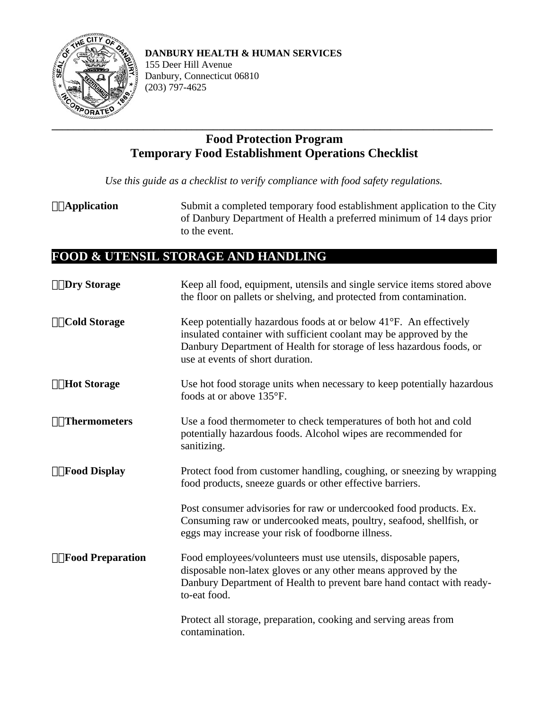

**DANBURY HEALTH & HUMAN SERVICES**

155 Deer Hill Avenue Danbury, Connecticut 06810 (203) 797-4625

## **Food Protection Program Temporary Food Establishment Operations Checklist**

*Use this guide as a checklist to verify compliance with food safety regulations.*

**Application** Submit a completed temporary food establishment application to the City of Danbury Department of Health a preferred minimum of 14 days prior to the event.

## **FOOD & UTENSIL STORAGE AND HANDLING**

| <b>□□Dry Storage</b>    | Keep all food, equipment, utensils and single service items stored above<br>the floor on pallets or shelving, and protected from contamination.                                                                                                     |
|-------------------------|-----------------------------------------------------------------------------------------------------------------------------------------------------------------------------------------------------------------------------------------------------|
| $\Box$ Cold Storage     | Keep potentially hazardous foods at or below 41°F. An effectively<br>insulated container with sufficient coolant may be approved by the<br>Danbury Department of Health for storage of less hazardous foods, or<br>use at events of short duration. |
| <b>□□Hot Storage</b>    | Use hot food storage units when necessary to keep potentially hazardous<br>foods at or above 135°F.                                                                                                                                                 |
| $\Box$ Thermometers     | Use a food thermometer to check temperatures of both hot and cold<br>potentially hazardous foods. Alcohol wipes are recommended for<br>sanitizing.                                                                                                  |
| $\Box$ Food Display     | Protect food from customer handling, coughing, or sneezing by wrapping<br>food products, sneeze guards or other effective barriers.                                                                                                                 |
|                         | Post consumer advisories for raw or undercooked food products. Ex.<br>Consuming raw or undercooked meats, poultry, seafood, shellfish, or<br>eggs may increase your risk of foodborne illness.                                                      |
| $\Box$ Food Preparation | Food employees/volunteers must use utensils, disposable papers,<br>disposable non-latex gloves or any other means approved by the<br>Danbury Department of Health to prevent bare hand contact with ready-<br>to-eat food.                          |
|                         | Protect all storage, preparation, cooking and serving areas from<br>contamination.                                                                                                                                                                  |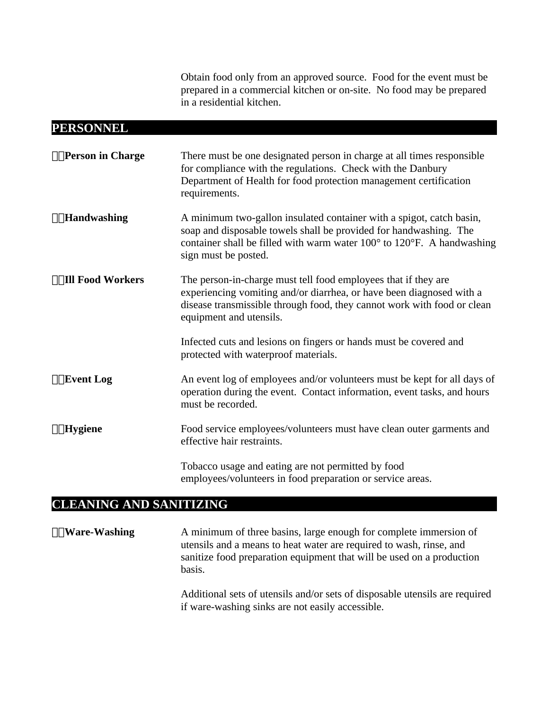Obtain food only from an approved source. Food for the event must be prepared in a commercial kitchen or on-site. No food may be prepared in a residential kitchen.

## **PERSONNEL**

| □□Person in Charge      | There must be one designated person in charge at all times responsible<br>for compliance with the regulations. Check with the Danbury<br>Department of Health for food protection management certification<br>requirements.                  |
|-------------------------|----------------------------------------------------------------------------------------------------------------------------------------------------------------------------------------------------------------------------------------------|
| $\Box$ Handwashing      | A minimum two-gallon insulated container with a spigot, catch basin,<br>soap and disposable towels shall be provided for handwashing. The<br>container shall be filled with warm water 100° to 120°F. A handwashing<br>sign must be posted.  |
| $\Box$ Ill Food Workers | The person-in-charge must tell food employees that if they are<br>experiencing vomiting and/or diarrhea, or have been diagnosed with a<br>disease transmissible through food, they cannot work with food or clean<br>equipment and utensils. |
|                         | Infected cuts and lesions on fingers or hands must be covered and<br>protected with waterproof materials.                                                                                                                                    |
| $\Box$ Event Log        | An event log of employees and/or volunteers must be kept for all days of<br>operation during the event. Contact information, event tasks, and hours<br>must be recorded.                                                                     |
| $\Box$ Hygiene          | Food service employees/volunteers must have clean outer garments and<br>effective hair restraints.                                                                                                                                           |
|                         | Tobacco usage and eating are not permitted by food<br>employees/volunteers in food preparation or service areas.                                                                                                                             |

## **CLEANING AND SANITIZING**

**Ware-Washing** A minimum of three basins, large enough for complete immersion of utensils and a means to heat water are required to wash, rinse, and sanitize food preparation equipment that will be used on a production basis.

> Additional sets of utensils and/or sets of disposable utensils are required if ware-washing sinks are not easily accessible.